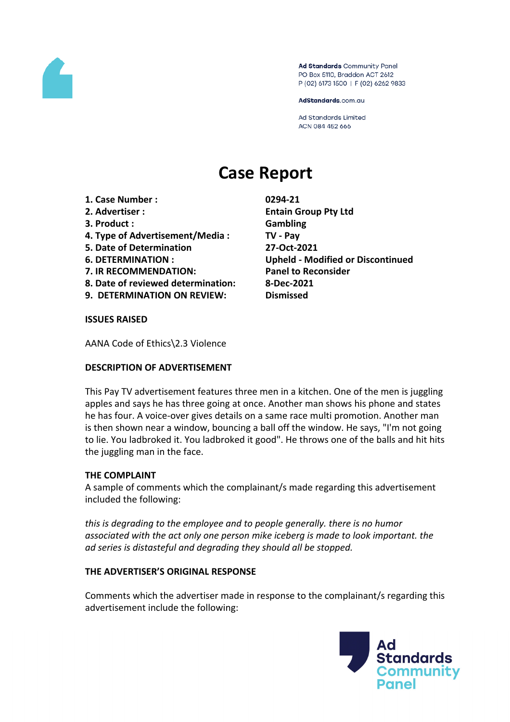

Ad Standards Community Panel PO Box 5110, Braddon ACT 2612 P (02) 6173 1500 | F (02) 6262 9833

AdStandards.com.au

**Ad Standards Limited** ACN 084 452 666

# **Case Report**

- **1. Case Number : 0294-21**
- 
- **3. Product : Gambling**
- **4. Type of Advertisement/Media : TV - Pay**
- **5. Date of Determination 27-Oct-2021**
- 
- **7. IR RECOMMENDATION: Panel to Reconsider**
- **8. Date of reviewed determination: 8-Dec-2021**
- **9. DETERMINATION ON REVIEW: Dismissed**

**2. Advertiser : Entain Group Pty Ltd 6. DETERMINATION : Upheld - Modified or Discontinued**

**ISSUES RAISED**

AANA Code of Ethics\2.3 Violence

# **DESCRIPTION OF ADVERTISEMENT**

This Pay TV advertisement features three men in a kitchen. One of the men is juggling apples and says he has three going at once. Another man shows his phone and states he has four. A voice-over gives details on a same race multi promotion. Another man is then shown near a window, bouncing a ball off the window. He says, "I'm not going to lie. You ladbroked it. You ladbroked it good". He throws one of the balls and hit hits the juggling man in the face.

# **THE COMPLAINT**

A sample of comments which the complainant/s made regarding this advertisement included the following:

*this is degrading to the employee and to people generally. there is no humor associated with the act only one person mike iceberg is made to look important. the ad series is distasteful and degrading they should all be stopped.*

# **THE ADVERTISER'S ORIGINAL RESPONSE**

Comments which the advertiser made in response to the complainant/s regarding this advertisement include the following:

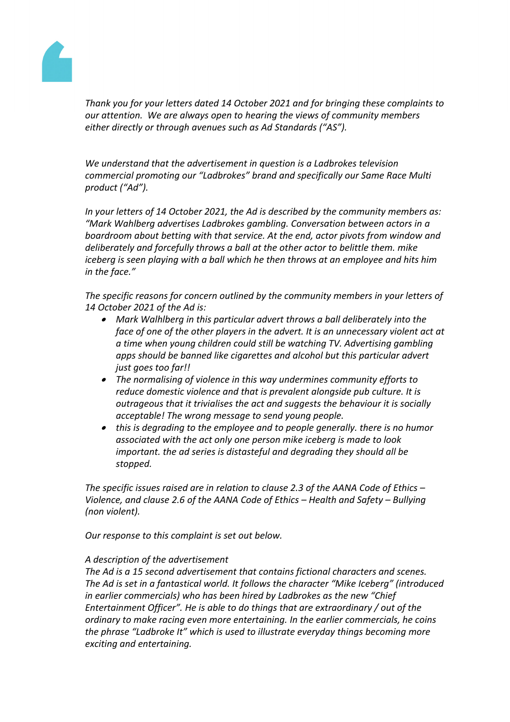

*Thank you for your letters dated 14 October 2021 and for bringing these complaints to our attention. We are always open to hearing the views of community members either directly or through avenues such as Ad Standards ("AS").* 

*We understand that the advertisement in question is a Ladbrokes television commercial promoting our "Ladbrokes" brand and specifically our Same Race Multi product ("Ad").* 

*In your letters of 14 October 2021, the Ad is described by the community members as: "Mark Wahlberg advertises Ladbrokes gambling. Conversation between actors in a boardroom about betting with that service. At the end, actor pivots from window and deliberately and forcefully throws a ball at the other actor to belittle them. mike iceberg is seen playing with a ball which he then throws at an employee and hits him in the face."*

*The specific reasons for concern outlined by the community members in your letters of 14 October 2021 of the Ad is:* 

- *Mark Walhlberg in this particular advert throws a ball deliberately into the face of one of the other players in the advert. It is an unnecessary violent act at a time when young children could still be watching TV. Advertising gambling apps should be banned like cigarettes and alcohol but this particular advert just goes too far!!*
- *The normalising of violence in this way undermines community efforts to reduce domestic violence and that is prevalent alongside pub culture. It is outrageous that it trivialises the act and suggests the behaviour it is socially acceptable! The wrong message to send young people.*
- *this is degrading to the employee and to people generally. there is no humor associated with the act only one person mike iceberg is made to look important. the ad series is distasteful and degrading they should all be stopped.*

*The specific issues raised are in relation to clause 2.3 of the AANA Code of Ethics – Violence, and clause 2.6 of the AANA Code of Ethics – Health and Safety – Bullying (non violent).*

*Our response to this complaint is set out below.*

# *A description of the advertisement*

*The Ad is a 15 second advertisement that contains fictional characters and scenes. The Ad is set in a fantastical world. It follows the character "Mike Iceberg" (introduced in earlier commercials) who has been hired by Ladbrokes as the new "Chief Entertainment Officer". He is able to do things that are extraordinary / out of the ordinary to make racing even more entertaining. In the earlier commercials, he coins the phrase "Ladbroke It" which is used to illustrate everyday things becoming more exciting and entertaining.*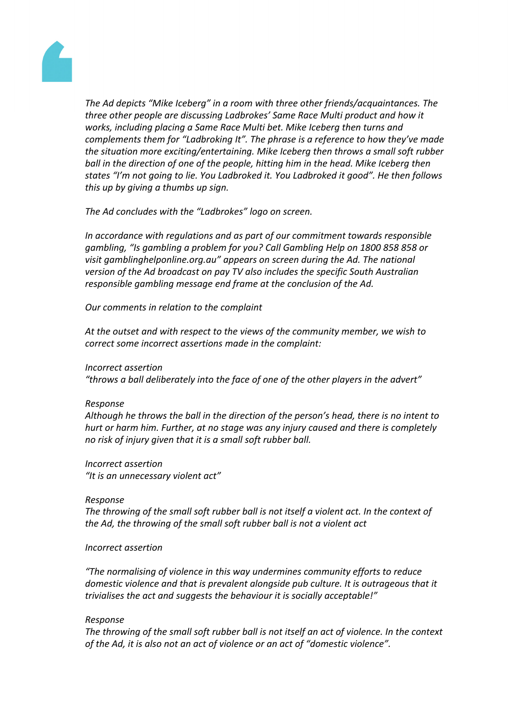

*The Ad depicts "Mike Iceberg" in a room with three other friends/acquaintances. The three other people are discussing Ladbrokes' Same Race Multi product and how it works, including placing a Same Race Multi bet. Mike Iceberg then turns and complements them for "Ladbroking It". The phrase is a reference to how they've made the situation more exciting/entertaining. Mike Iceberg then throws a small soft rubber ball in the direction of one of the people, hitting him in the head. Mike Iceberg then states "I'm not going to lie. You Ladbroked it. You Ladbroked it good". He then follows this up by giving a thumbs up sign.*

*The Ad concludes with the "Ladbrokes" logo on screen.* 

*In accordance with regulations and as part of our commitment towards responsible gambling, "Is gambling a problem for you? Call Gambling Help on 1800 858 858 or visit gamblinghelponline.org.au" appears on screen during the Ad. The national version of the Ad broadcast on pay TV also includes the specific South Australian responsible gambling message end frame at the conclusion of the Ad.*

*Our comments in relation to the complaint*

*At the outset and with respect to the views of the community member, we wish to correct some incorrect assertions made in the complaint:*

#### *Incorrect assertion*

*"throws a ball deliberately into the face of one of the other players in the advert"*

# *Response*

*Although he throws the ball in the direction of the person's head, there is no intent to hurt or harm him. Further, at no stage was any injury caused and there is completely no risk of injury given that it is a small soft rubber ball.*

# *Incorrect assertion*

*"It is an unnecessary violent act"*

#### *Response*

*The throwing of the small soft rubber ball is not itself a violent act. In the context of the Ad, the throwing of the small soft rubber ball is not a violent act*

#### *Incorrect assertion*

*"The normalising of violence in this way undermines community efforts to reduce domestic violence and that is prevalent alongside pub culture. It is outrageous that it trivialises the act and suggests the behaviour it is socially acceptable!"*

# *Response*

*The throwing of the small soft rubber ball is not itself an act of violence. In the context of the Ad, it is also not an act of violence or an act of "domestic violence".*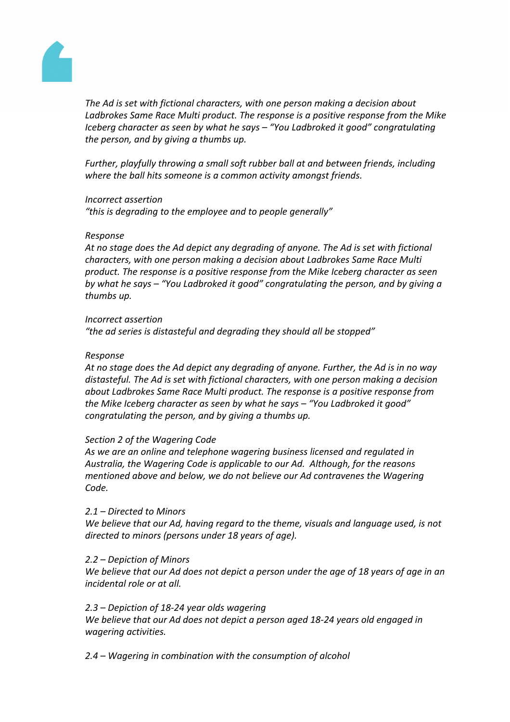

*The Ad is set with fictional characters, with one person making a decision about Ladbrokes Same Race Multi product. The response is a positive response from the Mike Iceberg character as seen by what he says – "You Ladbroked it good" congratulating the person, and by giving a thumbs up.*

*Further, playfully throwing a small soft rubber ball at and between friends, including where the ball hits someone is a common activity amongst friends.*

#### *Incorrect assertion*

*"this is degrading to the employee and to people generally"*

#### *Response*

*At no stage does the Ad depict any degrading of anyone. The Ad is set with fictional characters, with one person making a decision about Ladbrokes Same Race Multi product. The response is a positive response from the Mike Iceberg character as seen by what he says – "You Ladbroked it good" congratulating the person, and by giving a thumbs up.*

#### *Incorrect assertion*

*"the ad series is distasteful and degrading they should all be stopped"*

#### *Response*

*At no stage does the Ad depict any degrading of anyone. Further, the Ad is in no way distasteful. The Ad is set with fictional characters, with one person making a decision about Ladbrokes Same Race Multi product. The response is a positive response from the Mike Iceberg character as seen by what he says – "You Ladbroked it good" congratulating the person, and by giving a thumbs up.*

# *Section 2 of the Wagering Code*

*As we are an online and telephone wagering business licensed and regulated in Australia, the Wagering Code is applicable to our Ad. Although, for the reasons mentioned above and below, we do not believe our Ad contravenes the Wagering Code.*

# *2.1 – Directed to Minors*

*We believe that our Ad, having regard to the theme, visuals and language used, is not directed to minors (persons under 18 years of age).*

# *2.2 – Depiction of Minors*

We believe that our Ad does not depict a person under the age of 18 years of age in an *incidental role or at all.*

# *2.3 – Depiction of 18-24 year olds wagering*

*We believe that our Ad does not depict a person aged 18-24 years old engaged in wagering activities.*

*2.4 – Wagering in combination with the consumption of alcohol*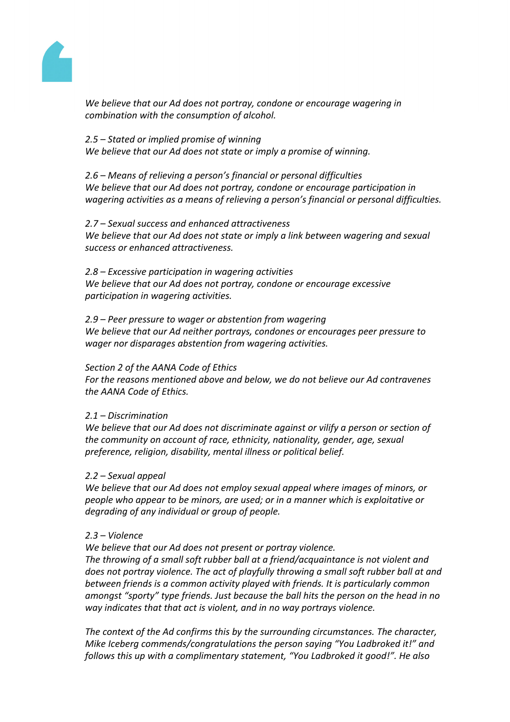

*We believe that our Ad does not portray, condone or encourage wagering in combination with the consumption of alcohol.* 

# *2.5 – Stated or implied promise of winning*

*We believe that our Ad does not state or imply a promise of winning.*

*2.6 – Means of relieving a person's financial or personal difficulties We believe that our Ad does not portray, condone or encourage participation in wagering activities as a means of relieving a person's financial or personal difficulties.*

#### *2.7 – Sexual success and enhanced attractiveness We believe that our Ad does not state or imply a link between wagering and sexual success or enhanced attractiveness.*

*2.8 – Excessive participation in wagering activities We believe that our Ad does not portray, condone or encourage excessive participation in wagering activities.*

# *2.9 – Peer pressure to wager or abstention from wagering We believe that our Ad neither portrays, condones or encourages peer pressure to wager nor disparages abstention from wagering activities.*

# *Section 2 of the AANA Code of Ethics*

*For the reasons mentioned above and below, we do not believe our Ad contravenes the AANA Code of Ethics.*

# *2.1 – Discrimination*

*We believe that our Ad does not discriminate against or vilify a person or section of the community on account of race, ethnicity, nationality, gender, age, sexual preference, religion, disability, mental illness or political belief.* 

# *2.2 – Sexual appeal*

*We believe that our Ad does not employ sexual appeal where images of minors, or people who appear to be minors, are used; or in a manner which is exploitative or degrading of any individual or group of people.*

# *2.3 – Violence*

*We believe that our Ad does not present or portray violence.* 

*The throwing of a small soft rubber ball at a friend/acquaintance is not violent and does not portray violence. The act of playfully throwing a small soft rubber ball at and between friends is a common activity played with friends. It is particularly common amongst "sporty" type friends. Just because the ball hits the person on the head in no way indicates that that act is violent, and in no way portrays violence.*

*The context of the Ad confirms this by the surrounding circumstances. The character, Mike Iceberg commends/congratulations the person saying "You Ladbroked it!" and follows this up with a complimentary statement, "You Ladbroked it good!". He also*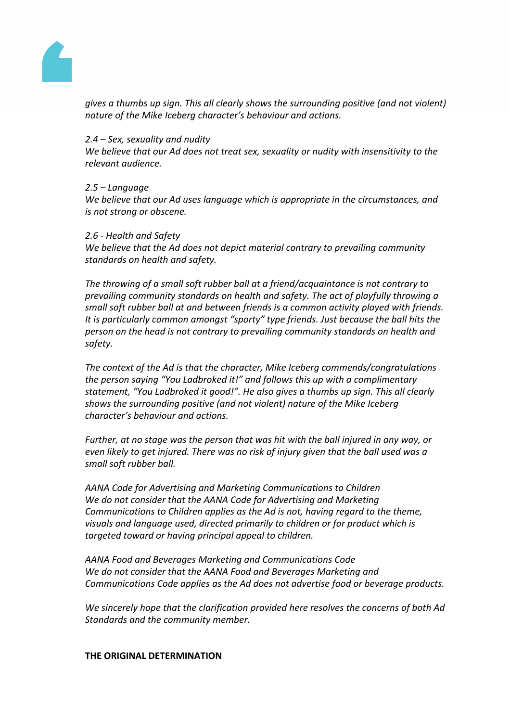

*gives a thumbs up sign. This all clearly shows the surrounding positive (and not violent) nature of the Mike Iceberg character's behaviour and actions.*

# *2.4 – Sex, sexuality and nudity*

*We believe that our Ad does not treat sex, sexuality or nudity with insensitivity to the relevant audience.* 

#### *2.5 – Language*

*We believe that our Ad uses language which is appropriate in the circumstances, and is not strong or obscene.* 

#### *2.6 - Health and Safety*

*We believe that the Ad does not depict material contrary to prevailing community standards on health and safety.*

*The throwing of a small soft rubber ball at a friend/acquaintance is not contrary to prevailing community standards on health and safety. The act of playfully throwing a small soft rubber ball at and between friends is a common activity played with friends. It is particularly common amongst "sporty" type friends. Just because the ball hits the person on the head is not contrary to prevailing community standards on health and safety.*

*The context of the Ad is that the character, Mike Iceberg commends/congratulations the person saying "You Ladbroked it!" and follows this up with a complimentary statement, "You Ladbroked it good!". He also gives a thumbs up sign. This all clearly shows the surrounding positive (and not violent) nature of the Mike Iceberg character's behaviour and actions.*

*Further, at no stage was the person that was hit with the ball injured in any way, or even likely to get injured. There was no risk of injury given that the ball used was a small soft rubber ball.*

*AANA Code for Advertising and Marketing Communications to Children We do not consider that the AANA Code for Advertising and Marketing Communications to Children applies as the Ad is not, having regard to the theme, visuals and language used, directed primarily to children or for product which is targeted toward or having principal appeal to children.* 

*AANA Food and Beverages Marketing and Communications Code We do not consider that the AANA Food and Beverages Marketing and Communications Code applies as the Ad does not advertise food or beverage products.*

*We sincerely hope that the clarification provided here resolves the concerns of both Ad Standards and the community member.* 

#### **THE ORIGINAL DETERMINATION**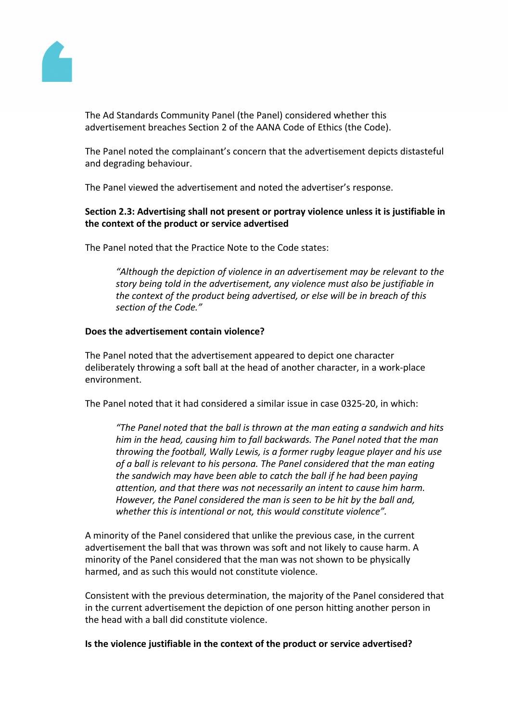

The Ad Standards Community Panel (the Panel) considered whether this advertisement breaches Section 2 of the AANA Code of Ethics (the Code).

The Panel noted the complainant's concern that the advertisement depicts distasteful and degrading behaviour.

The Panel viewed the advertisement and noted the advertiser's response.

# **Section 2.3: Advertising shall not present or portray violence unless it is justifiable in the context of the product or service advertised**

The Panel noted that the Practice Note to the Code states:

*"Although the depiction of violence in an advertisement may be relevant to the story being told in the advertisement, any violence must also be justifiable in the context of the product being advertised, or else will be in breach of this section of the Code."*

#### **Does the advertisement contain violence?**

The Panel noted that the advertisement appeared to depict one character deliberately throwing a soft ball at the head of another character, in a work-place environment.

The Panel noted that it had considered a similar issue in case 0325-20, in which:

*"The Panel noted that the ball is thrown at the man eating a sandwich and hits him in the head, causing him to fall backwards. The Panel noted that the man throwing the football, Wally Lewis, is a former rugby league player and his use of a ball is relevant to his persona. The Panel considered that the man eating the sandwich may have been able to catch the ball if he had been paying attention, and that there was not necessarily an intent to cause him harm. However, the Panel considered the man is seen to be hit by the ball and, whether this is intentional or not, this would constitute violence".*

A minority of the Panel considered that unlike the previous case, in the current advertisement the ball that was thrown was soft and not likely to cause harm. A minority of the Panel considered that the man was not shown to be physically harmed, and as such this would not constitute violence.

Consistent with the previous determination, the majority of the Panel considered that in the current advertisement the depiction of one person hitting another person in the head with a ball did constitute violence.

# **Is the violence justifiable in the context of the product or service advertised?**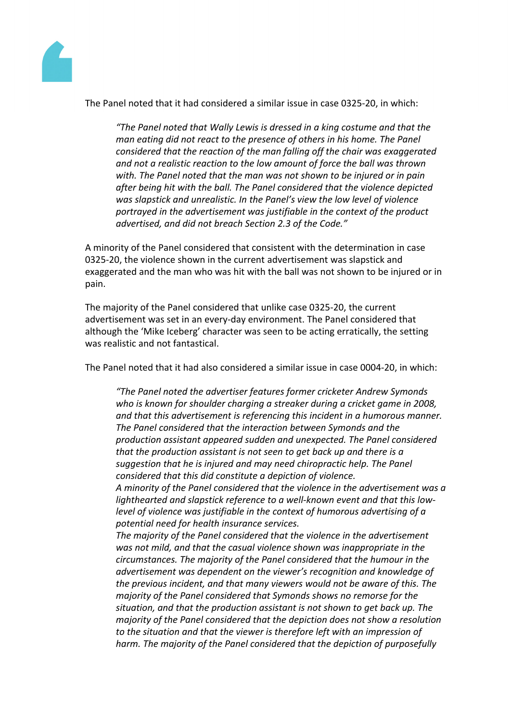

The Panel noted that it had considered a similar issue in case 0325-20, in which:

*"The Panel noted that Wally Lewis is dressed in a king costume and that the man eating did not react to the presence of others in his home. The Panel considered that the reaction of the man falling off the chair was exaggerated and not a realistic reaction to the low amount of force the ball was thrown with. The Panel noted that the man was not shown to be injured or in pain after being hit with the ball. The Panel considered that the violence depicted was slapstick and unrealistic. In the Panel's view the low level of violence portrayed in the advertisement was justifiable in the context of the product advertised, and did not breach Section 2.3 of the Code."*

A minority of the Panel considered that consistent with the determination in case 0325-20, the violence shown in the current advertisement was slapstick and exaggerated and the man who was hit with the ball was not shown to be injured or in pain.

The majority of the Panel considered that unlike case 0325-20, the current advertisement was set in an every-day environment. The Panel considered that although the 'Mike Iceberg' character was seen to be acting erratically, the setting was realistic and not fantastical.

The Panel noted that it had also considered a similar issue in case 0004-20, in which:

*"The Panel noted the advertiser features former cricketer Andrew Symonds who is known for shoulder charging a streaker during a cricket game in 2008, and that this advertisement is referencing this incident in a humorous manner. The Panel considered that the interaction between Symonds and the production assistant appeared sudden and unexpected. The Panel considered that the production assistant is not seen to get back up and there is a suggestion that he is injured and may need chiropractic help. The Panel considered that this did constitute a depiction of violence.*

*A minority of the Panel considered that the violence in the advertisement was a lighthearted and slapstick reference to a well-known event and that this lowlevel of violence was justifiable in the context of humorous advertising of a potential need for health insurance services.*

*The majority of the Panel considered that the violence in the advertisement was not mild, and that the casual violence shown was inappropriate in the circumstances. The majority of the Panel considered that the humour in the advertisement was dependent on the viewer's recognition and knowledge of the previous incident, and that many viewers would not be aware of this. The majority of the Panel considered that Symonds shows no remorse for the situation, and that the production assistant is not shown to get back up. The majority of the Panel considered that the depiction does not show a resolution to the situation and that the viewer is therefore left with an impression of harm. The majority of the Panel considered that the depiction of purposefully*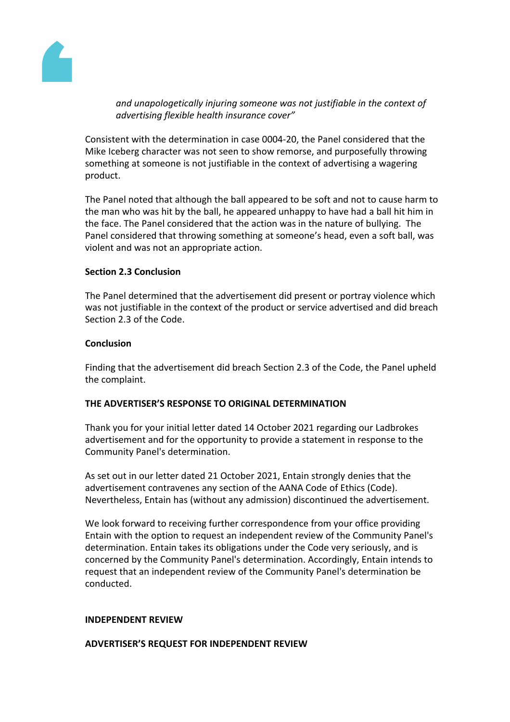

*and unapologetically injuring someone was not justifiable in the context of advertising flexible health insurance cover"*

Consistent with the determination in case 0004-20, the Panel considered that the Mike Iceberg character was not seen to show remorse, and purposefully throwing something at someone is not justifiable in the context of advertising a wagering product.

The Panel noted that although the ball appeared to be soft and not to cause harm to the man who was hit by the ball, he appeared unhappy to have had a ball hit him in the face. The Panel considered that the action was in the nature of bullying. The Panel considered that throwing something at someone's head, even a soft ball, was violent and was not an appropriate action.

# **Section 2.3 Conclusion**

The Panel determined that the advertisement did present or portray violence which was not justifiable in the context of the product or service advertised and did breach Section 2.3 of the Code.

# **Conclusion**

Finding that the advertisement did breach Section 2.3 of the Code, the Panel upheld the complaint.

# **THE ADVERTISER'S RESPONSE TO ORIGINAL DETERMINATION**

Thank you for your initial letter dated 14 October 2021 regarding our Ladbrokes advertisement and for the opportunity to provide a statement in response to the Community Panel's determination.

As set out in our letter dated 21 October 2021, Entain strongly denies that the advertisement contravenes any section of the AANA Code of Ethics (Code). Nevertheless, Entain has (without any admission) discontinued the advertisement.

We look forward to receiving further correspondence from your office providing Entain with the option to request an independent review of the Community Panel's determination. Entain takes its obligations under the Code very seriously, and is concerned by the Community Panel's determination. Accordingly, Entain intends to request that an independent review of the Community Panel's determination be conducted.

# **INDEPENDENT REVIEW**

# **ADVERTISER'S REQUEST FOR INDEPENDENT REVIEW**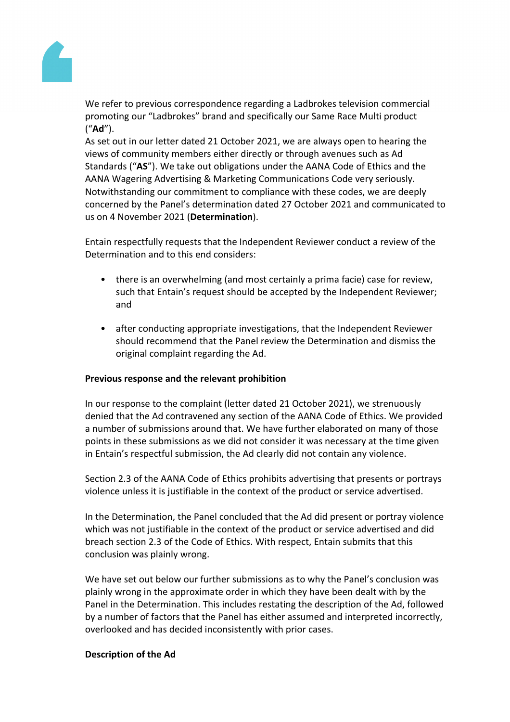

We refer to previous correspondence regarding a Ladbrokes television commercial promoting our "Ladbrokes" brand and specifically our Same Race Multi product ("**Ad**").

As set out in our letter dated 21 October 2021, we are always open to hearing the views of community members either directly or through avenues such as Ad Standards ("**AS**"). We take out obligations under the AANA Code of Ethics and the AANA Wagering Advertising & Marketing Communications Code very seriously. Notwithstanding our commitment to compliance with these codes, we are deeply concerned by the Panel's determination dated 27 October 2021 and communicated to us on 4 November 2021 (**Determination**).

Entain respectfully requests that the Independent Reviewer conduct a review of the Determination and to this end considers:

- there is an overwhelming (and most certainly a prima facie) case for review, such that Entain's request should be accepted by the Independent Reviewer; and
- after conducting appropriate investigations, that the Independent Reviewer should recommend that the Panel review the Determination and dismiss the original complaint regarding the Ad.

# **Previous response and the relevant prohibition**

In our response to the complaint (letter dated 21 October 2021), we strenuously denied that the Ad contravened any section of the AANA Code of Ethics. We provided a number of submissions around that. We have further elaborated on many of those points in these submissions as we did not consider it was necessary at the time given in Entain's respectful submission, the Ad clearly did not contain any violence.

Section 2.3 of the AANA Code of Ethics prohibits advertising that presents or portrays violence unless it is justifiable in the context of the product or service advertised.

In the Determination, the Panel concluded that the Ad did present or portray violence which was not justifiable in the context of the product or service advertised and did breach section 2.3 of the Code of Ethics. With respect, Entain submits that this conclusion was plainly wrong.

We have set out below our further submissions as to why the Panel's conclusion was plainly wrong in the approximate order in which they have been dealt with by the Panel in the Determination. This includes restating the description of the Ad, followed by a number of factors that the Panel has either assumed and interpreted incorrectly, overlooked and has decided inconsistently with prior cases.

# **Description of the Ad**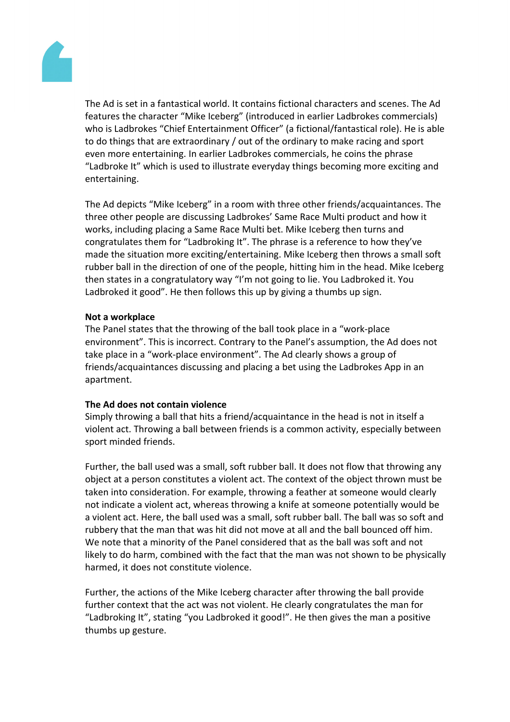

The Ad is set in a fantastical world. It contains fictional characters and scenes. The Ad features the character "Mike Iceberg" (introduced in earlier Ladbrokes commercials) who is Ladbrokes "Chief Entertainment Officer" (a fictional/fantastical role). He is able to do things that are extraordinary / out of the ordinary to make racing and sport even more entertaining. In earlier Ladbrokes commercials, he coins the phrase "Ladbroke It" which is used to illustrate everyday things becoming more exciting and entertaining.

The Ad depicts "Mike Iceberg" in a room with three other friends/acquaintances. The three other people are discussing Ladbrokes' Same Race Multi product and how it works, including placing a Same Race Multi bet. Mike Iceberg then turns and congratulates them for "Ladbroking It". The phrase is a reference to how they've made the situation more exciting/entertaining. Mike Iceberg then throws a small soft rubber ball in the direction of one of the people, hitting him in the head. Mike Iceberg then states in a congratulatory way "I'm not going to lie. You Ladbroked it. You Ladbroked it good". He then follows this up by giving a thumbs up sign.

# **Not a workplace**

The Panel states that the throwing of the ball took place in a "work-place environment". This is incorrect. Contrary to the Panel's assumption, the Ad does not take place in a "work-place environment". The Ad clearly shows a group of friends/acquaintances discussing and placing a bet using the Ladbrokes App in an apartment.

# **The Ad does not contain violence**

Simply throwing a ball that hits a friend/acquaintance in the head is not in itself a violent act. Throwing a ball between friends is a common activity, especially between sport minded friends.

Further, the ball used was a small, soft rubber ball. It does not flow that throwing any object at a person constitutes a violent act. The context of the object thrown must be taken into consideration. For example, throwing a feather at someone would clearly not indicate a violent act, whereas throwing a knife at someone potentially would be a violent act. Here, the ball used was a small, soft rubber ball. The ball was so soft and rubbery that the man that was hit did not move at all and the ball bounced off him. We note that a minority of the Panel considered that as the ball was soft and not likely to do harm, combined with the fact that the man was not shown to be physically harmed, it does not constitute violence.

Further, the actions of the Mike Iceberg character after throwing the ball provide further context that the act was not violent. He clearly congratulates the man for "Ladbroking It", stating "you Ladbroked it good!". He then gives the man a positive thumbs up gesture.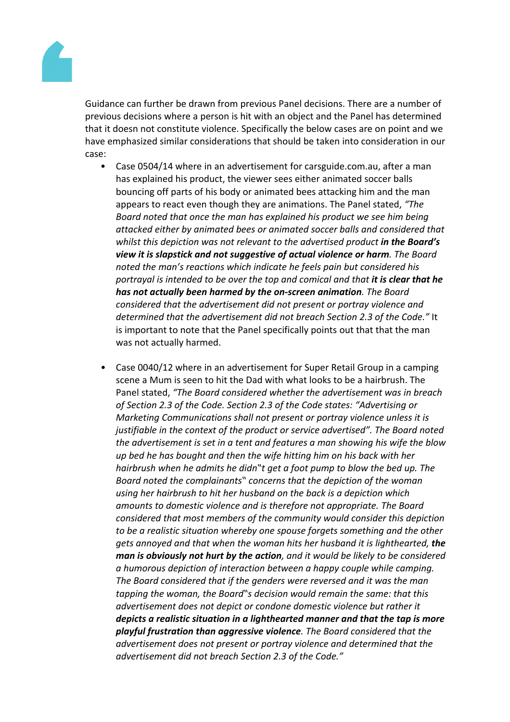

Guidance can further be drawn from previous Panel decisions. There are a number of previous decisions where a person is hit with an object and the Panel has determined that it doesn not constitute violence. Specifically the below cases are on point and we have emphasized similar considerations that should be taken into consideration in our case:

- Case 0504/14 where in an advertisement for carsguide.com.au, after a man has explained his product, the viewer sees either animated soccer balls bouncing off parts of his body or animated bees attacking him and the man appears to react even though they are animations. The Panel stated, *"The Board noted that once the man has explained his product we see him being attacked either by animated bees or animated soccer balls and considered that whilst this depiction was not relevant to the advertised product in the Board's view it is slapstick and not suggestive of actual violence or harm. The Board noted the man's reactions which indicate he feels pain but considered his portrayal is intended to be over the top and comical and that it is clear that he has not actually been harmed by the on-screen animation. The Board considered that the advertisement did not present or portray violence and determined that the advertisement did not breach Section 2.3 of the Code."* It is important to note that the Panel specifically points out that that the man was not actually harmed.
- *•* Case 0040/12 where in an advertisement for Super Retail Group in a camping scene a Mum is seen to hit the Dad with what looks to be a hairbrush. The Panel stated, *"The Board considered whether the advertisement was in breach of Section 2.3 of the Code. Section 2.3 of the Code states: "Advertising or Marketing Communications shall not present or portray violence unless it is justifiable in the context of the product or service advertised". The Board noted the advertisement is set in a tent and features a man showing his wife the blow up bed he has bought and then the wife hitting him on his back with her hairbrush when he admits he didn"t get a foot pump to blow the bed up. The Board noted the complainants" concerns that the depiction of the woman using her hairbrush to hit her husband on the back is a depiction which amounts to domestic violence and is therefore not appropriate. The Board considered that most members of the community would consider this depiction to be a realistic situation whereby one spouse forgets something and the other gets annoyed and that when the woman hits her husband it is lighthearted, the man is obviously not hurt by the action, and it would be likely to be considered a humorous depiction of interaction between a happy couple while camping. The Board considered that if the genders were reversed and it was the man tapping the woman, the Board"s decision would remain the same: that this advertisement does not depict or condone domestic violence but rather it depicts a realistic situation in a lighthearted manner and that the tap is more playful frustration than aggressive violence. The Board considered that the advertisement does not present or portray violence and determined that the advertisement did not breach Section 2.3 of the Code."*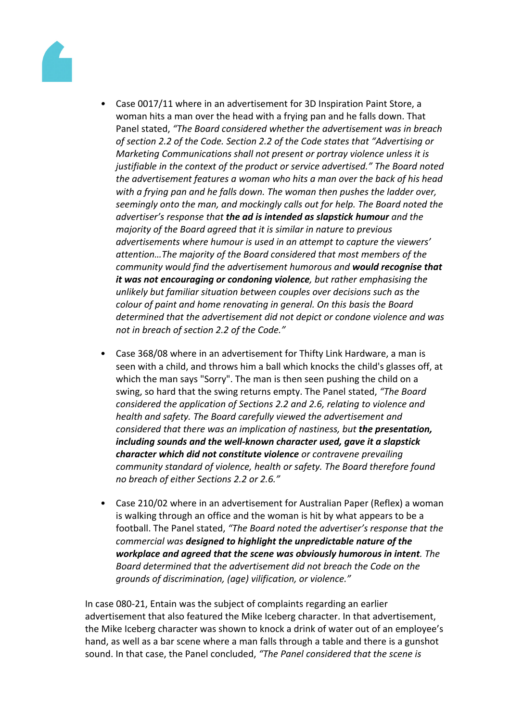

- *•* Case 0017/11 where in an advertisement for 3D Inspiration Paint Store, a woman hits a man over the head with a frying pan and he falls down. That Panel stated, *"The Board considered whether the advertisement was in breach of section 2.2 of the Code. Section 2.2 of the Code states that "Advertising or Marketing Communications shall not present or portray violence unless it is justifiable in the context of the product or service advertised." The Board noted the advertisement features a woman who hits a man over the back of his head with a frying pan and he falls down. The woman then pushes the ladder over, seemingly onto the man, and mockingly calls out for help. The Board noted the advertiser's response that the ad is intended as slapstick humour and the majority of the Board agreed that it is similar in nature to previous advertisements where humour is used in an attempt to capture the viewers' attention…The majority of the Board considered that most members of the community would find the advertisement humorous and would recognise that it was not encouraging or condoning violence, but rather emphasising the unlikely but familiar situation between couples over decisions such as the colour of paint and home renovating in general. On this basis the Board determined that the advertisement did not depict or condone violence and was not in breach of section 2.2 of the Code."*
- Case 368/08 where in an advertisement for Thifty Link Hardware, a man is seen with a child, and throws him a ball which knocks the child's glasses off, at which the man says "Sorry". The man is then seen pushing the child on a swing, so hard that the swing returns empty. The Panel stated, *"The Board considered the application of Sections 2.2 and 2.6, relating to violence and health and safety. The Board carefully viewed the advertisement and considered that there was an implication of nastiness, but the presentation, including sounds and the well-known character used, gave it a slapstick character which did not constitute violence or contravene prevailing community standard of violence, health or safety. The Board therefore found no breach of either Sections 2.2 or 2.6."*
- Case 210/02 where in an advertisement for Australian Paper (Reflex) a woman is walking through an office and the woman is hit by what appears to be a football. The Panel stated, *"The Board noted the advertiser's response that the commercial was designed to highlight the unpredictable nature of the workplace and agreed that the scene was obviously humorous in intent. The Board determined that the advertisement did not breach the Code on the grounds of discrimination, (age) vilification, or violence."*

In case 080-21, Entain was the subject of complaints regarding an earlier advertisement that also featured the Mike Iceberg character. In that advertisement, the Mike Iceberg character was shown to knock a drink of water out of an employee's hand, as well as a bar scene where a man falls through a table and there is a gunshot sound. In that case, the Panel concluded, *"The Panel considered that the scene is*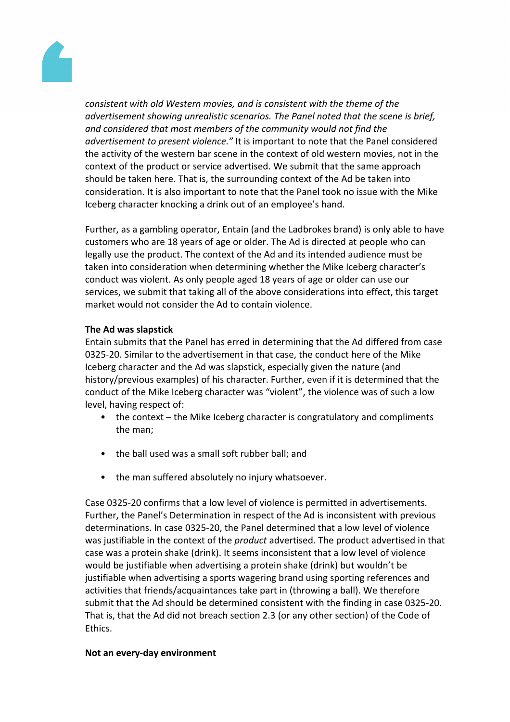

*consistent with old Western movies, and is consistent with the theme of the advertisement showing unrealistic scenarios. The Panel noted that the scene is brief, and considered that most members of the community would not find the advertisement to present violence."* It is important to note that the Panel considered the activity of the western bar scene in the context of old western movies, not in the context of the product or service advertised. We submit that the same approach should be taken here. That is, the surrounding context of the Ad be taken into consideration. It is also important to note that the Panel took no issue with the Mike Iceberg character knocking a drink out of an employee's hand.

Further, as a gambling operator, Entain (and the Ladbrokes brand) is only able to have customers who are 18 years of age or older. The Ad is directed at people who can legally use the product. The context of the Ad and its intended audience must be taken into consideration when determining whether the Mike Iceberg character's conduct was violent. As only people aged 18 years of age or older can use our services, we submit that taking all of the above considerations into effect, this target market would not consider the Ad to contain violence.

# **The Ad was slapstick**

Entain submits that the Panel has erred in determining that the Ad differed from case 0325-20. Similar to the advertisement in that case, the conduct here of the Mike Iceberg character and the Ad was slapstick, especially given the nature (and history/previous examples) of his character. Further, even if it is determined that the conduct of the Mike Iceberg character was "violent", the violence was of such a low level, having respect of:

- the context the Mike Iceberg character is congratulatory and compliments the man;
- the ball used was a small soft rubber ball; and
- the man suffered absolutely no injury whatsoever.

Case 0325-20 confirms that a low level of violence is permitted in advertisements. Further, the Panel's Determination in respect of the Ad is inconsistent with previous determinations. In case 0325-20, the Panel determined that a low level of violence was justifiable in the context of the *product* advertised. The product advertised in that case was a protein shake (drink). It seems inconsistent that a low level of violence would be justifiable when advertising a protein shake (drink) but wouldn't be justifiable when advertising a sports wagering brand using sporting references and activities that friends/acquaintances take part in (throwing a ball). We therefore submit that the Ad should be determined consistent with the finding in case 0325-20. That is, that the Ad did not breach section 2.3 (or any other section) of the Code of Ethics.

# **Not an every-day environment**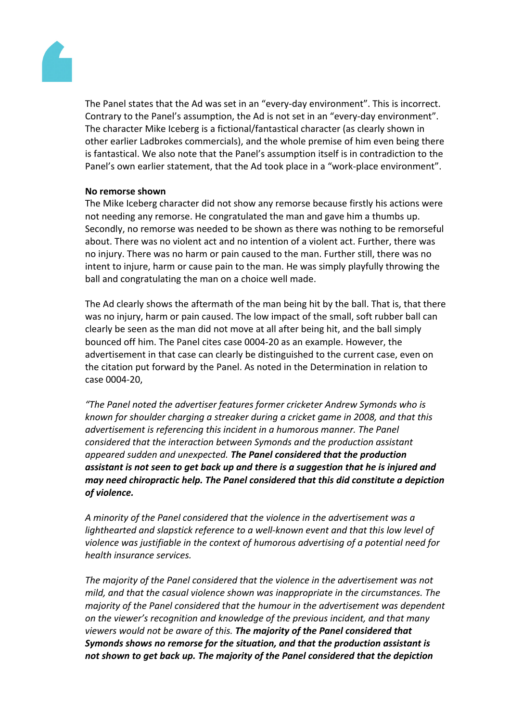

The Panel states that the Ad was set in an "every-day environment". This is incorrect. Contrary to the Panel's assumption, the Ad is not set in an "every-day environment". The character Mike Iceberg is a fictional/fantastical character (as clearly shown in other earlier Ladbrokes commercials), and the whole premise of him even being there is fantastical. We also note that the Panel's assumption itself is in contradiction to the Panel's own earlier statement, that the Ad took place in a "work-place environment".

#### **No remorse shown**

The Mike Iceberg character did not show any remorse because firstly his actions were not needing any remorse. He congratulated the man and gave him a thumbs up. Secondly, no remorse was needed to be shown as there was nothing to be remorseful about. There was no violent act and no intention of a violent act. Further, there was no injury. There was no harm or pain caused to the man. Further still, there was no intent to injure, harm or cause pain to the man. He was simply playfully throwing the ball and congratulating the man on a choice well made.

The Ad clearly shows the aftermath of the man being hit by the ball. That is, that there was no injury, harm or pain caused. The low impact of the small, soft rubber ball can clearly be seen as the man did not move at all after being hit, and the ball simply bounced off him. The Panel cites case 0004-20 as an example. However, the advertisement in that case can clearly be distinguished to the current case, even on the citation put forward by the Panel. As noted in the Determination in relation to case 0004-20,

*"The Panel noted the advertiser features former cricketer Andrew Symonds who is known for shoulder charging a streaker during a cricket game in 2008, and that this advertisement is referencing this incident in a humorous manner. The Panel considered that the interaction between Symonds and the production assistant appeared sudden and unexpected. The Panel considered that the production assistant is not seen to get back up and there is a suggestion that he is injured and may need chiropractic help. The Panel considered that this did constitute a depiction of violence.*

*A minority of the Panel considered that the violence in the advertisement was a lighthearted and slapstick reference to a well-known event and that this low level of violence was justifiable in the context of humorous advertising of a potential need for health insurance services.*

*The majority of the Panel considered that the violence in the advertisement was not mild, and that the casual violence shown was inappropriate in the circumstances. The majority of the Panel considered that the humour in the advertisement was dependent on the viewer's recognition and knowledge of the previous incident, and that many viewers would not be aware of this. The majority of the Panel considered that Symonds shows no remorse for the situation, and that the production assistant is not shown to get back up. The majority of the Panel considered that the depiction*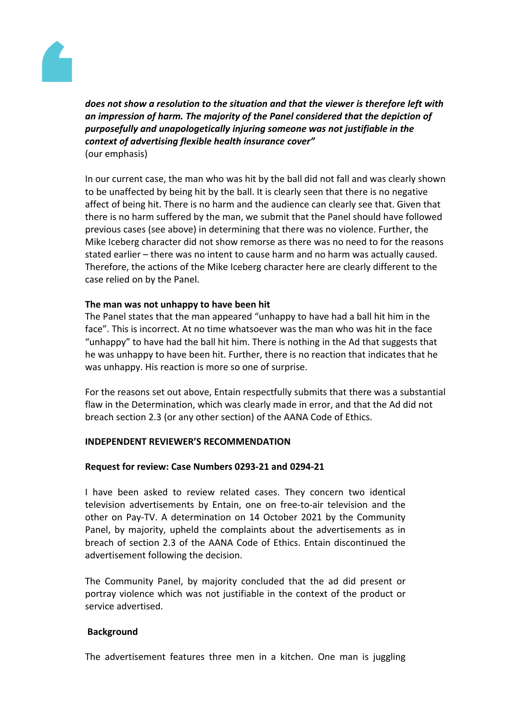

*does not show a resolution to the situation and that the viewer is therefore left with an impression of harm. The majority of the Panel considered that the depiction of purposefully and unapologetically injuring someone was not justifiable in the context of advertising flexible health insurance cover"* (our emphasis)

In our current case, the man who was hit by the ball did not fall and was clearly shown to be unaffected by being hit by the ball. It is clearly seen that there is no negative affect of being hit. There is no harm and the audience can clearly see that. Given that there is no harm suffered by the man, we submit that the Panel should have followed previous cases (see above) in determining that there was no violence. Further, the Mike Iceberg character did not show remorse as there was no need to for the reasons stated earlier – there was no intent to cause harm and no harm was actually caused. Therefore, the actions of the Mike Iceberg character here are clearly different to the case relied on by the Panel.

# **The man was not unhappy to have been hit**

The Panel states that the man appeared "unhappy to have had a ball hit him in the face". This is incorrect. At no time whatsoever was the man who was hit in the face "unhappy" to have had the ball hit him. There is nothing in the Ad that suggests that he was unhappy to have been hit. Further, there is no reaction that indicates that he was unhappy. His reaction is more so one of surprise.

For the reasons set out above, Entain respectfully submits that there was a substantial flaw in the Determination, which was clearly made in error, and that the Ad did not breach section 2.3 (or any other section) of the AANA Code of Ethics.

# **INDEPENDENT REVIEWER'S RECOMMENDATION**

# **Request for review: Case Numbers 0293-21 and 0294-21**

I have been asked to review related cases. They concern two identical television advertisements by Entain, one on free-to-air television and the other on Pay-TV. A determination on 14 October 2021 by the Community Panel, by majority, upheld the complaints about the advertisements as in breach of section 2.3 of the AANA Code of Ethics. Entain discontinued the advertisement following the decision.

The Community Panel, by majority concluded that the ad did present or portray violence which was not justifiable in the context of the product or service advertised.

# **Background**

The advertisement features three men in a kitchen. One man is juggling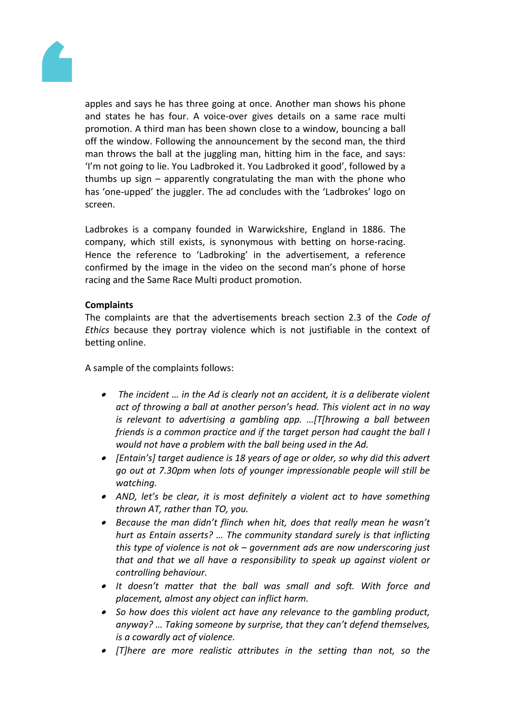

apples and says he has three going at once. Another man shows his phone and states he has four. A voice-over gives details on a same race multi promotion. A third man has been shown close to a window, bouncing a ball off the window. Following the announcement by the second man, the third man throws the ball at the juggling man, hitting him in the face, and says: 'I'm not goin*g* to lie. You Ladbroked it. You Ladbroked it good', followed by a thumbs up sign – apparently congratulating the man with the phone who has 'one-upped' the juggler. The ad concludes with the 'Ladbrokes' logo on screen.

Ladbrokes is a company founded in Warwickshire, England in 1886. The company, which still exists, is synonymous with betting on horse-racing. Hence the reference to 'Ladbroking' in the advertisement, a reference confirmed by the image in the video on the second man's phone of horse racing and the Same Race Multi product promotion.

# **Complaints**

The complaints are that the advertisements breach section 2.3 of the *Code of Ethics* because they portray violence which is not justifiable in the context of betting online.

A sample of the complaints follows:

- *The incident … in the Ad is clearly not an accident, it is a deliberate violent act of throwing a ball at another person's head. This violent act in no way is relevant to advertising a gambling app. …[T[hrowing a ball between friends is a common practice and if the target person had caught the ball I would not have a problem with the ball being used in the Ad.*
- *[Entain's] target audience is 18 years of age or older, so why did this advert go out at 7.30pm when lots of younger impressionable people will still be watching.*
- *AND, let's be clear, it is most definitely a violent act to have something thrown AT, rather than TO, you.*
- *Because the man didn't flinch when hit, does that really mean he wasn't hurt as Entain asserts? … The community standard surely is that inflicting this type of violence is not ok – government ads are now underscoring just that and that we all have a responsibility to speak up against violent or controlling behaviour.*
- *It doesn't matter that the ball was small and soft. With force and placement, almost any object can inflict harm.*
- *So how does this violent act have any relevance to the gambling product, anyway? … Taking someone by surprise, that they can't defend themselves, is a cowardly act of violence.*
- *[T]here are more realistic attributes in the setting than not, so the*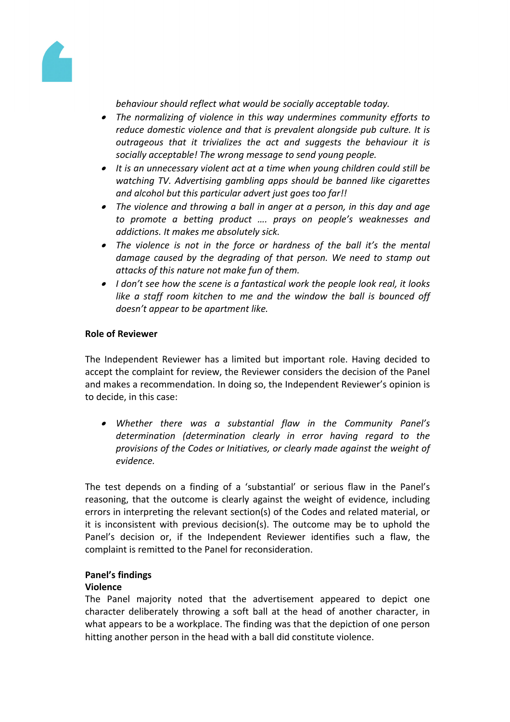

*behaviour should reflect what would be socially acceptable today.*

- *The normalizing of violence in this way undermines community efforts to reduce domestic violence and that is prevalent alongside pub culture. It is outrageous that it trivializes the act and suggests the behaviour it is socially acceptable! The wrong message to send young people.*
- *It is an unnecessary violent act at a time when young children could still be watching TV. Advertising gambling apps should be banned like cigarettes and alcohol but this particular advert just goes too far!!*
- *The violence and throwing a ball in anger at a person, in this day and age to promote a betting product …. prays on people's weaknesses and addictions. It makes me absolutely sick.*
- *The violence is not in the force or hardness of the ball it's the mental damage caused by the degrading of that person. We need to stamp out attacks of this nature not make fun of them.*
- *I don't see how the scene is a fantastical work the people look real, it looks like a staff room kitchen to me and the window the ball is bounced off doesn't appear to be apartment like.*

# **Role of Reviewer**

The Independent Reviewer has a limited but important role. Having decided to accept the complaint for review, the Reviewer considers the decision of the Panel and makes a recommendation. In doing so, the Independent Reviewer's opinion is to decide, in this case:

 *Whether there was a substantial flaw in the Community Panel's determination (determination clearly in error having regard to the provisions of the Codes or Initiatives, or clearly made against the weight of evidence.*

The test depends on a finding of a 'substantial' or serious flaw in the Panel's reasoning, that the outcome is clearly against the weight of evidence, including errors in interpreting the relevant section(s) of the Codes and related material, or it is inconsistent with previous decision(s). The outcome may be to uphold the Panel's decision or, if the Independent Reviewer identifies such a flaw, the complaint is remitted to the Panel for reconsideration.

# **Panel's findings**

# **Violence**

The Panel majority noted that the advertisement appeared to depict one character deliberately throwing a soft ball at the head of another character, in what appears to be a workplace. The finding was that the depiction of one person hitting another person in the head with a ball did constitute violence.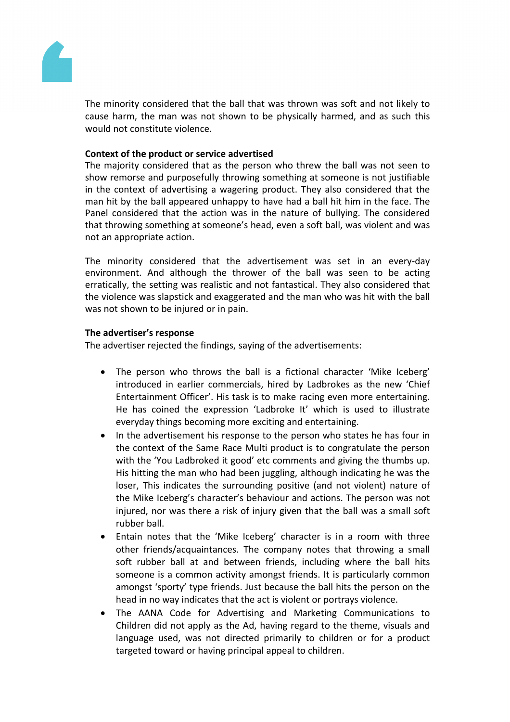

The minority considered that the ball that was thrown was soft and not likely to cause harm, the man was not shown to be physically harmed, and as such this would not constitute violence.

# **Context of the product or service advertised**

The majority considered that as the person who threw the ball was not seen to show remorse and purposefully throwing something at someone is not justifiable in the context of advertising a wagering product. They also considered that the man hit by the ball appeared unhappy to have had a ball hit him in the face. The Panel considered that the action was in the nature of bullying. The considered that throwing something at someone's head, even a soft ball, was violent and was not an appropriate action.

The minority considered that the advertisement was set in an every-day environment. And although the thrower of the ball was seen to be acting erratically, the setting was realistic and not fantastical. They also considered that the violence was slapstick and exaggerated and the man who was hit with the ball was not shown to be injured or in pain.

# **The advertiser's response**

The advertiser rejected the findings, saying of the advertisements:

- The person who throws the ball is a fictional character 'Mike Iceberg' introduced in earlier commercials, hired by Ladbrokes as the new 'Chief Entertainment Officer'. His task is to make racing even more entertaining. He has coined the expression 'Ladbroke It' which is used to illustrate everyday things becoming more exciting and entertaining.
- In the advertisement his response to the person who states he has four in the context of the Same Race Multi product is to congratulate the person with the 'You Ladbroked it good' etc comments and giving the thumbs up. His hitting the man who had been juggling, although indicating he was the loser, This indicates the surrounding positive (and not violent) nature of the Mike Iceberg's character's behaviour and actions. The person was not injured, nor was there a risk of injury given that the ball was a small soft rubber ball.
- Entain notes that the 'Mike Iceberg' character is in a room with three other friends/acquaintances. The company notes that throwing a small soft rubber ball at and between friends, including where the ball hits someone is a common activity amongst friends. It is particularly common amongst 'sporty' type friends. Just because the ball hits the person on the head in no way indicates that the act is violent or portrays violence.
- The AANA Code for Advertising and Marketing Communications to Children did not apply as the Ad, having regard to the theme, visuals and language used, was not directed primarily to children or for a product targeted toward or having principal appeal to children.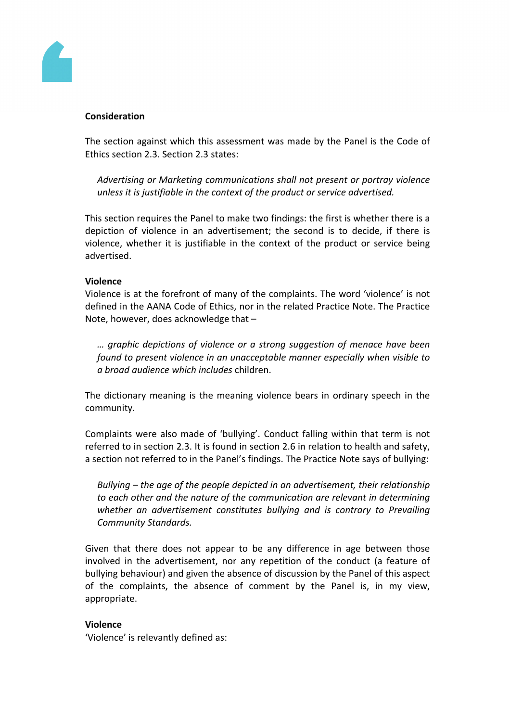

#### **Consideration**

The section against which this assessment was made by the Panel is the Code of Ethics section 2.3. Section 2.3 states:

*Advertising or Marketing communications shall not present or portray violence unless it is justifiable in the context of the product or service advertised.*

This section requires the Panel to make two findings: the first is whether there is a depiction of violence in an advertisement; the second is to decide, if there is violence, whether it is justifiable in the context of the product or service being advertised.

#### **Violence**

Violence is at the forefront of many of the complaints. The word 'violence' is not defined in the AANA Code of Ethics, nor in the related Practice Note. The Practice Note, however, does acknowledge that –

*… graphic depictions of violence or a strong suggestion of menace have been found to present violence in an unacceptable manner especially when visible to a broad audience which includes* children.

The dictionary meaning is the meaning violence bears in ordinary speech in the community.

Complaints were also made of 'bullying'. Conduct falling within that term is not referred to in section 2.3. It is found in section 2.6 in relation to health and safety, a section not referred to in the Panel's findings. The Practice Note says of bullying:

*Bullying – the age of the people depicted in an advertisement, their relationship to each other and the nature of the communication are relevant in determining whether an advertisement constitutes bullying and is contrary to Prevailing Community Standards.*

Given that there does not appear to be any difference in age between those involved in the advertisement, nor any repetition of the conduct (a feature of bullying behaviour) and given the absence of discussion by the Panel of this aspect of the complaints, the absence of comment by the Panel is, in my view, appropriate.

#### **Violence**

'Violence' is relevantly defined as: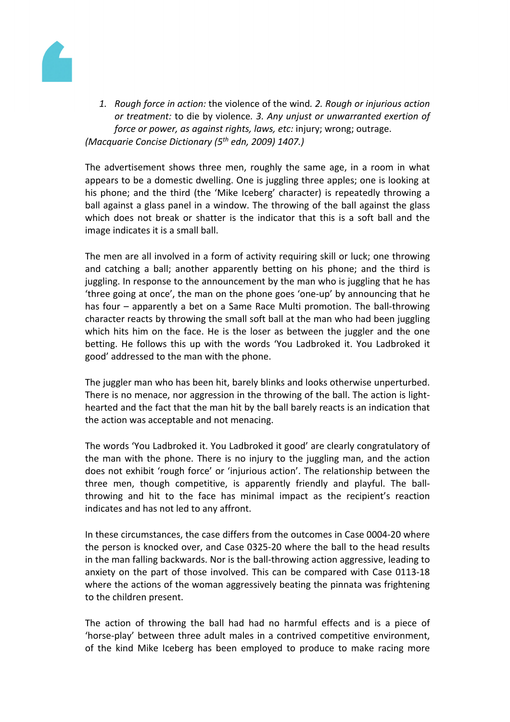

*1. Rough force in action:* the violence of the wind*. 2. Rough or injurious action or treatment:* to die by violence*. 3. Any unjust or unwarranted exertion of force or power, as against rights, laws, etc:* injury; wrong; outrage. *(Macquarie Concise Dictionary (5th edn, 2009) 1407.)*

The advertisement shows three men, roughly the same age, in a room in what appears to be a domestic dwelling. One is juggling three apples; one is looking at his phone; and the third (the 'Mike Iceberg' character) is repeatedly throwing a ball against a glass panel in a window. The throwing of the ball against the glass which does not break or shatter is the indicator that this is a soft ball and the image indicates it is a small ball.

The men are all involved in a form of activity requiring skill or luck; one throwing and catching a ball; another apparently betting on his phone; and the third is juggling. In response to the announcement by the man who is juggling that he has 'three going at once', the man on the phone goes 'one-up' by announcing that he has four – apparently a bet on a Same Race Multi promotion. The ball-throwing character reacts by throwing the small soft ball at the man who had been juggling which hits him on the face. He is the loser as between the juggler and the one betting. He follows this up with the words 'You Ladbroked it. You Ladbroked it good' addressed to the man with the phone.

The juggler man who has been hit, barely blinks and looks otherwise unperturbed. There is no menace, nor aggression in the throwing of the ball. The action is lighthearted and the fact that the man hit by the ball barely reacts is an indication that the action was acceptable and not menacing.

The words 'You Ladbroked it. You Ladbroked it good' are clearly congratulatory of the man with the phone. There is no injury to the juggling man, and the action does not exhibit 'rough force' or 'injurious action'. The relationship between the three men, though competitive, is apparently friendly and playful. The ballthrowing and hit to the face has minimal impact as the recipient's reaction indicates and has not led to any affront.

In these circumstances, the case differs from the outcomes in Case 0004-20 where the person is knocked over, and Case 0325-20 where the ball to the head results in the man falling backwards. Nor is the ball-throwing action aggressive, leading to anxiety on the part of those involved. This can be compared with Case 0113-18 where the actions of the woman aggressively beating the pinnata was frightening to the children present.

The action of throwing the ball had had no harmful effects and is a piece of 'horse-play' between three adult males in a contrived competitive environment, of the kind Mike Iceberg has been employed to produce to make racing more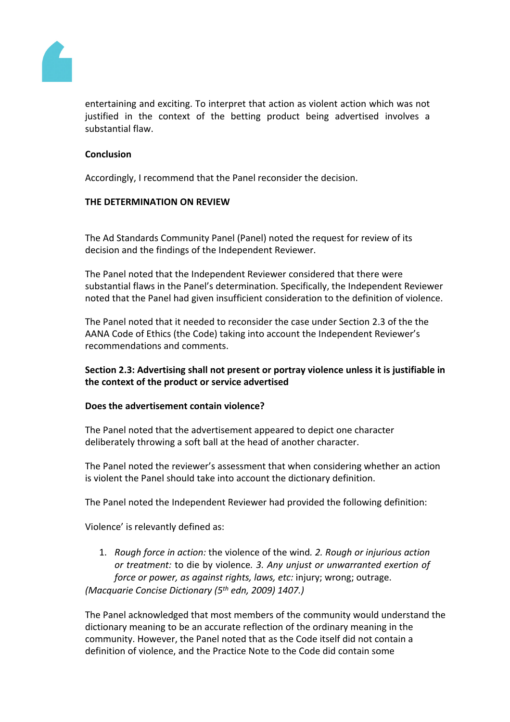

entertaining and exciting. To interpret that action as violent action which was not justified in the context of the betting product being advertised involves a substantial flaw.

#### **Conclusion**

Accordingly, I recommend that the Panel reconsider the decision.

#### **THE DETERMINATION ON REVIEW**

The Ad Standards Community Panel (Panel) noted the request for review of its decision and the findings of the Independent Reviewer.

The Panel noted that the Independent Reviewer considered that there were substantial flaws in the Panel's determination. Specifically, the Independent Reviewer noted that the Panel had given insufficient consideration to the definition of violence.

The Panel noted that it needed to reconsider the case under Section 2.3 of the the AANA Code of Ethics (the Code) taking into account the Independent Reviewer's recommendations and comments.

# **Section 2.3: Advertising shall not present or portray violence unless it is justifiable in the context of the product or service advertised**

# **Does the advertisement contain violence?**

The Panel noted that the advertisement appeared to depict one character deliberately throwing a soft ball at the head of another character.

The Panel noted the reviewer's assessment that when considering whether an action is violent the Panel should take into account the dictionary definition.

The Panel noted the Independent Reviewer had provided the following definition:

Violence' is relevantly defined as:

1. *Rough force in action:* the violence of the wind*. 2. Rough or injurious action or treatment:* to die by violence*. 3. Any unjust or unwarranted exertion of force or power, as against rights, laws, etc:* injury; wrong; outrage. *(Macquarie Concise Dictionary (5th edn, 2009) 1407.)*

The Panel acknowledged that most members of the community would understand the dictionary meaning to be an accurate reflection of the ordinary meaning in the community. However, the Panel noted that as the Code itself did not contain a definition of violence, and the Practice Note to the Code did contain some